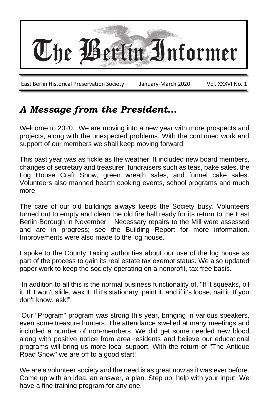

# *A Message from the President…*

Welcome to 2020. We are moving into a new year with more prospects and projects, along with the unexpected problems. With the continued work and support of our members we shall keep moving forward!

This past year was as fickle as the weather. It included new board members, changes of secretary and treasurer, fundraisers such as teas, bake sales, the Log House Craft Show, green wreath sales, and funnel cake sales. Volunteers also manned hearth cooking events, school programs and much more.

The care of our old buildings always keeps the Society busy. Volunteers turned out to empty and clean the old fire hall ready for its return to the East Berlin Borough in November. Necessary repairs to the Mill were assessed and are in progress; see the Building Report for more information. Improvements were also made to the log house.

I spoke to the County Taxing authorities about our use of the log house as part of the process to gain its real estate tax exempt status. We also updated paper work to keep the society operating on a nonprofit, tax free basis.

In addition to all this is the normal business functionality of, "If it squeaks, oil it. If it won't slide, wax it. If it's stationary, paint it, and if it's loose, nail it. If you don't know, ask!"

Our "Program" program was strong this year, bringing in various speakers, even some treasure hunters. The attendance swelled at many meetings and included a number of non-members. We did get some needed new blood along with positive notice from area residents and believe our educational programs will bring us more local support. With the return of "The Antique Road Show" we are off to a good start!

We are a volunteer society and the need is as great now as it was ever before. Come up with an idea, an answer, a plan. Step up, help with your input. We have a fine training program for any one.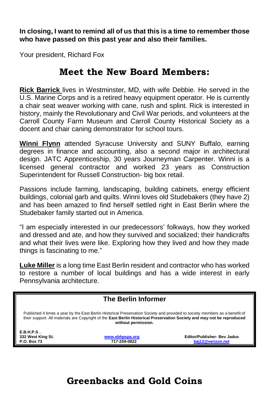**In closing, I want to remind all of us that this is a time to remember those who have passed on this past year and also their families.**

Your president, Richard Fox

### **Meet the New Board Members:**

**Rick Barrick** lives in Westminster, MD, with wife Debbie. He served in the U.S. Marine Corps and is a retired heavy equipment operator. He is currently a chair seat weaver working with cane, rush and splint. Rick is interested in history, mainly the Revolutionary and Civil War periods, and volunteers at the Carroll County Farm Museum and Carroll County Historical Society as a docent and chair caning demonstrator for school tours.

**Winni Flynn** attended Syracuse University and SUNY Buffalo, earning degrees in finance and accounting, also a second major in architectural design. JATC Apprenticeship, 30 years Journeyman Carpenter. Winni is a licensed general contractor and worked 23 years as Construction Superintendent for Russell Construction- big box retail.

Passions include farming, landscaping, building cabinets, energy efficient buildings, colonial garb and quilts. Winni loves old Studebakers (they have 2) and has been amazed to find herself settled right in East Berlin where the Studebaker family started out in America.

"I am especially interested in our predecessors' folkways, how they worked and dressed and ate, and how they survived and socialized; their handicrafts and what their lives were like. Exploring how they lived and how they made things is fascinating to me."

**Luke Miller** is a long time East Berlin resident and contractor who has worked to restore a number of local buildings and has a wide interest in early Pennsylvania architecture.

| <b>The Berlin Informer</b>                                                                                                                                                                                                                                                    |                 |                                    |  |  |  |
|-------------------------------------------------------------------------------------------------------------------------------------------------------------------------------------------------------------------------------------------------------------------------------|-----------------|------------------------------------|--|--|--|
| Published 4 times a year by the East Berlin Historical Preservation Society and provided to society members as a benefit of<br>their support. All materials are Copyright of the East Berlin Historical Preservation Society and may not be reproduced<br>without permission. |                 |                                    |  |  |  |
| E.B.H.P.S.                                                                                                                                                                                                                                                                    |                 |                                    |  |  |  |
| 332 West King St.                                                                                                                                                                                                                                                             | www.ebhpspa.org | <b>Editor/Publisher- Bev Jadus</b> |  |  |  |
| P.O. Box 73                                                                                                                                                                                                                                                                   | 717-259-0822    | baj12@verizon.net                  |  |  |  |
|                                                                                                                                                                                                                                                                               |                 |                                    |  |  |  |
|                                                                                                                                                                                                                                                                               |                 |                                    |  |  |  |
|                                                                                                                                                                                                                                                                               |                 |                                    |  |  |  |
|                                                                                                                                                                                                                                                                               |                 |                                    |  |  |  |

**Greenbacks and Gold Coins**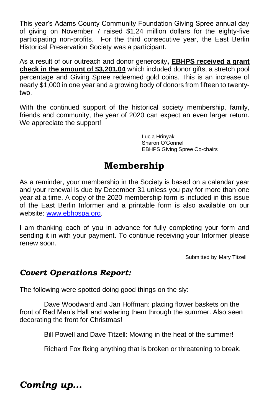This year's Adams County Community Foundation Giving Spree annual day of giving on November 7 raised \$1.24 million dollars for the eighty-five participating non-profits. For the third consecutive year, the East Berlin Historical Preservation Society was a participant.

As a result of our outreach and donor generosity**, EBHPS received a grant check in the amount of \$3,201.04** which included donor gifts, a stretch pool percentage and Giving Spree redeemed gold coins. This is an increase of nearly \$1,000 in one year and a growing body of donors from fifteen to twentytwo.

With the continued support of the historical society membership, family, friends and community, the year of 2020 can expect an even larger return. We appreciate the support!

> Lucia Hrinyak Sharon O'Connell EBHPS Giving Spree Co-chairs

# **Membership**

As a reminder, your membership in the Society is based on a calendar year and your renewal is due by December 31 unless you pay for more than one year at a time. A copy of the 2020 membership form is included in this issue of the East Berlin Informer and a printable form is also available on our website: [www.ebhpspa.org.](http://www.ebhpspa.org/)

I am thanking each of you in advance for fully completing your form and sending it in with your payment. To continue receiving your Informer please renew soon.

Submitted by Mary Titzell

#### *Covert Operations Report:*

The following were spotted doing good things on the sly:

Dave Woodward and Jan Hoffman: placing flower baskets on the front of Red Men's Hall and watering them through the summer. Also seen decorating the front for Christmas!

Bill Powell and Dave Titzell: Mowing in the heat of the summer!

Richard Fox fixing anything that is broken or threatening to break.

*Coming up…*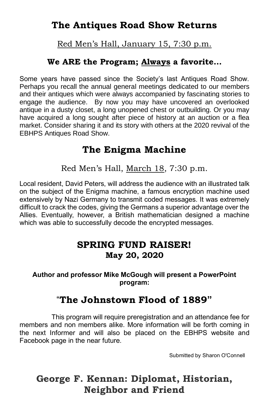## **The Antiques Road Show Returns**

Red Men's Hall, January 15, 7:30 p.m.

#### **We ARE the Program; Always a favorite…**

Some years have passed since the Society's last Antiques Road Show. Perhaps you recall the annual general meetings dedicated to our members and their antiques which were always accompanied by fascinating stories to engage the audience. By now you may have uncovered an overlooked antique in a dusty closet, a long unopened chest or outbuilding. Or you may have acquired a long sought after piece of history at an auction or a flea market. Consider sharing it and its story with others at the 2020 revival of the EBHPS Antiques Road Show.

#### **The Enigma Machine**

Red Men's Hall, March 18, 7:30 p.m.

Local resident, David Peters, will address the audience with an illustrated talk on the subject of the Enigma machine, a famous encryption machine used extensively by Nazi Germany to transmit coded messages. It was extremely difficult to crack the codes, giving the Germans a superior advantage over the Allies. Eventually, however, a British mathematician designed a machine which was able to successfully decode the encrypted messages.

#### **SPRING FUND RAISER! May 20, 2020**

#### **Author and professor Mike McGough will present a PowerPoint program:**

## "**The Johnstown Flood of 1889"**

 This program will require preregistration and an attendance fee for members and non members alike. More information will be forth coming in the next Informer and will also be placed on the EBHPS website and Facebook page in the near future.

Submitted by Sharon O'Connell

# **George F. Kennan: Diplomat, Historian, Neighbor and Friend**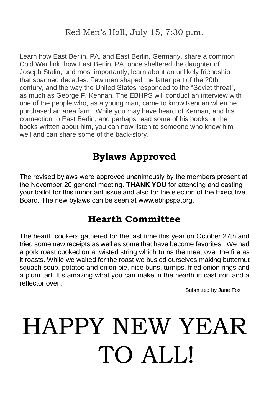Learn how East Berlin, PA, and East Berlin, Germany, share a common Cold War link, how East Berlin, PA, once sheltered the daughter of Joseph Stalin, and most importantly, learn about an unlikely friendship that spanned decades. Few men shaped the latter part of the 20th century, and the way the United States responded to the "Soviet threat", as much as George F. Kennan. The EBHPS will conduct an interview with one of the people who, as a young man, came to know Kennan when he purchased an area farm. While you may have heard of Kennan, and his connection to East Berlin, and perhaps read some of his books or the books written about him, you can now listen to someone who knew him well and can share some of the back-story.

# **Bylaws Approved**

The revised bylaws were approved unanimously by the members present at the November 20 general meeting. **THANK YOU** for attending and casting your ballot for this important issue and also for the election of the Executive Board. The new bylaws can be seen at www.ebhpspa.org.

# **Hearth Committee**

The hearth cookers gathered for the last time this year on October 27th and tried some new receipts as well as some that have become favorites. We had a pork roast cooked on a twisted string which turns the meat over the fire as it roasts. While we waited for the roast we busied ourselves making butternut squash soup, potatoe and onion pie, nice buns, turnips, fried onion rings and a plum tart. It's amazing what you can make in the hearth in cast iron and a reflector oven.

Submitted by Jane Fox

# HAPPY NEW YEAR TO ALL!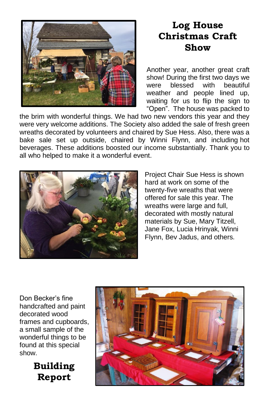

# **Log House Christmas Craft Show**

Another year, another great craft show! During the first two days we were blessed with beautiful weather and people lined up, waiting for us to flip the sign to "Open". The house was packed to

the brim with wonderful things. We had two new vendors this year and they were very welcome additions. The Society also added the sale of fresh green wreaths decorated by volunteers and chaired by Sue Hess. Also, there was a bake sale set up outside, chaired by Winni Flynn, and including hot beverages. These additions boosted our income substantially. Thank you to all who helped to make it a wonderful event.



Project Chair Sue Hess is shown hard at work on some of the twenty-five wreaths that were offered for sale this year. The wreaths were large and full, decorated with mostly natural materials by Sue, Mary Titzell, Jane Fox, Lucia Hrinyak, Winni Flynn, Bev Jadus, and others.

Don Becker's fine handcrafted and paint decorated wood frames and cupboards, a small sample of the wonderful things to be found at this special show.



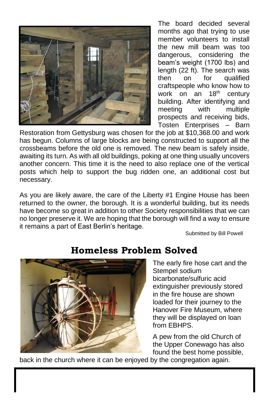

The board decided several months ago that trying to use member volunteers to install the new mill beam was too dangerous, considering the beam's weight (1700 lbs) and length (22 ft). The search was then on for qualified craftspeople who know how to work on an 18<sup>th</sup> century building. After identifying and meeting with multiple prospects and receiving bids, Tosten Enterprises – Barn

Restoration from Gettysburg was chosen for the job at \$10,368.00 and work has begun. Columns of large blocks are being constructed to support all the crossbeams before the old one is removed. The new beam is safely inside, awaiting its turn. As with all old buildings, poking at one thing usually uncovers another concern. This time it is the need to also replace one of the vertical posts which help to support the bug ridden one, an additional cost but necessary.

As you are likely aware, the care of the Liberty #1 Engine House has been returned to the owner, the borough. It is a wonderful building, but its needs have become so great in addition to other Society responsibilities that we can no longer preserve it. We are hoping that the borough will find a way to ensure it remains a part of East Berlin's heritage.

Submitted by Bill Powell



# **Homeless Problem Solved**

The early fire hose cart and the Stempel sodium bicarbonate/sulfuric acid extinguisher previously stored in the fire house are shown loaded for their journey to the Hanover Fire Museum, where they will be displayed on loan from EBHPS.

A pew from the old Church of the Upper Conewago has also found the best home possible,

back in the church where it can be enjoyed by the congregation again.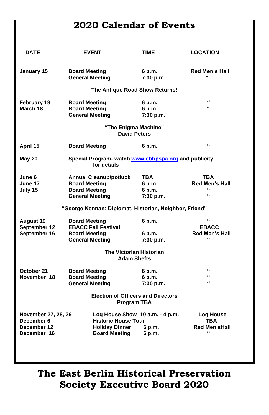## **2020 Calendar of Events**

| <b>DATE</b>                                                                          | <b>EVENT</b>                                                                                                   | TIME                                        | <b>LOCATION</b>                                          |  |  |  |  |
|--------------------------------------------------------------------------------------|----------------------------------------------------------------------------------------------------------------|---------------------------------------------|----------------------------------------------------------|--|--|--|--|
| January 15                                                                           | <b>Board Meeting</b><br><b>General Meeting</b>                                                                 | 6 p.m.<br>7:30 p.m.                         | <b>Red Men's Hall</b><br>$\epsilon$                      |  |  |  |  |
| The Antique Road Show Returns!                                                       |                                                                                                                |                                             |                                                          |  |  |  |  |
| February 19<br>March 18                                                              | <b>Board Meeting</b><br><b>Board Meeting</b><br><b>General Meeting</b><br>"The Enigma Machine"                 | 6 p.m.<br>6 p.m.<br>7:30 p.m.               | $\epsilon$<br>$\epsilon$                                 |  |  |  |  |
| <b>David Peters</b>                                                                  |                                                                                                                |                                             |                                                          |  |  |  |  |
| April 15                                                                             | <b>Board Meeting</b>                                                                                           | 6 p.m.                                      | $\epsilon$                                               |  |  |  |  |
| Special Program- watch www.ebhpspa.org and publicity<br><b>May 20</b><br>for details |                                                                                                                |                                             |                                                          |  |  |  |  |
| June 6<br>June 17<br>July 15                                                         | <b>Annual Cleanup/potluck</b><br><b>Board Meeting</b><br><b>Board Meeting</b><br><b>General Meeting</b>        | <b>TBA</b><br>6 p.m.<br>6 p.m.<br>7:30 p.m. | TBA<br><b>Red Men's Hall</b><br>$\epsilon$<br>$\epsilon$ |  |  |  |  |
|                                                                                      | "George Kennan: Diplomat, Historian, Neighbor, Friend"                                                         |                                             |                                                          |  |  |  |  |
| August 19<br>September 12<br>September 16                                            | <b>Board Meeting</b><br><b>EBACC Fall Festival</b><br><b>Board Meeting</b><br><b>General Meeting</b>           | 6 p.m.<br>6 p.m.<br>7:30 p.m.               | $\epsilon$<br><b>EBACC</b><br><b>Red Men's Hall</b>      |  |  |  |  |
| <b>The Victorian Historian</b><br><b>Adam Shefts</b>                                 |                                                                                                                |                                             |                                                          |  |  |  |  |
| October 21<br>November 18                                                            | <b>Board Meeting</b><br><b>Board Meeting</b><br><b>General Meeting</b>                                         | 6 p.m.<br>6 p.m.<br>7:30 p.m.               | "<br>"<br>$\epsilon$                                     |  |  |  |  |
| <b>Election of Officers and Directors</b><br><b>Program TBA</b>                      |                                                                                                                |                                             |                                                          |  |  |  |  |
| November 27, 28, 29<br>December 6<br>December 12<br>December 16                      | Log House Show 10 a.m. - 4 p.m.<br><b>Historic House Tour</b><br><b>Holiday Dinner</b><br><b>Board Meeting</b> | 6 p.m.<br>6 p.m.                            | Log House<br><b>TBA</b><br>Red Men'sHall<br>$\epsilon$   |  |  |  |  |

**The East Berlin Historical Preservation Society Executive Board 2020**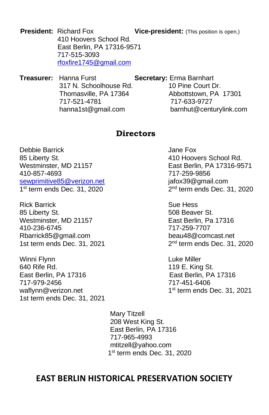**President:** Richard Fox **Vice-president:** (This position is open.) 410 Hoovers School Rd. East Berlin, PA 17316-9571 717-515-3093 [rfoxfire1745@gmail.com](mailto:rfoxfire1745@gmail.com)

**Treasurer:** Hanna Furst **Secretary:** Erma Barnhart 317 N. Schoolhouse Rd. 10 Pine Court Dr. Thomasville, PA 17364 Abbottstown, PA 17301 717-521-4781 717-633-9727 hanna1st@gmail.com barnhut@centurylink.com

#### **Directors**

Debbie Barrick Jane Fox 85 Liberty St. **410 Hoovers** School Rd. Westminster, MD 21157 East Berlin, PA 17316-9571 410-857-4693 717-259-9856 [sewprimitive85@verizon.net](mailto:sewprimitive85@verizon.net) in ignoral ignoral ignoral environment com-1 st term ends Dec. 31, 2020 2

Rick Barrick **Sue Hess** 85 Liberty St. 608 Beaver St. Westminster, MD 21157 East Berlin, Pa 17316 410-236-6745 717-259-7707 Rbarrick85@gmail.com beau48@comcast.net 1st term ends Dec. 31, 2021

Winni Flynn **Luke Miller** 640 Rife Rd. 119 E. King St. East Berlin, PA 17316 East Berlin, PA 17316 717-979-2456 717-451-6406 waflynn@verizon.net 1st term ends Dec. 31, 2021

 $2<sup>nd</sup>$  term ends Dec. 31, 2020

 $2<sup>nd</sup>$  term ends Dec. 31, 2020

 $1<sup>st</sup>$  term ends Dec. 31, 2021

 Mary Titzell 208 West King St. East Berlin, PA 17316 717-965-4993 mtitzell@yahoo.com 1 st term ends Dec. 31, 2020

#### **EAST BERLIN HISTORICAL PRESERVATION SOCIETY**